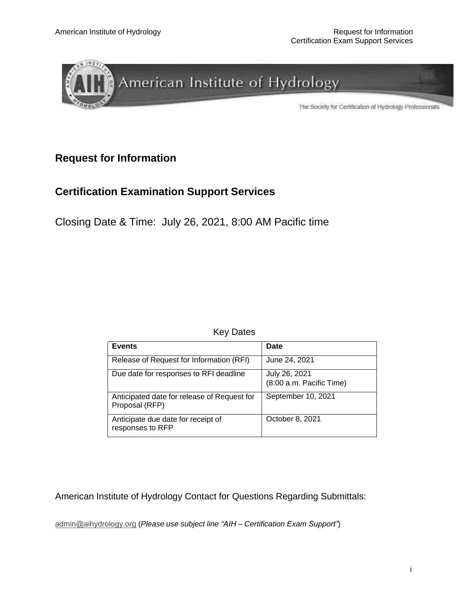

## **Request for Information**

## **Certification Examination Support Services**

Closing Date & Time: July 26, 2021, 8:00 AM Pacific time

Key Dates

| <b>Events</b>                                                 | <b>Date</b>                               |
|---------------------------------------------------------------|-------------------------------------------|
| Release of Request for Information (RFI)                      | June 24, 2021                             |
| Due date for responses to RFI deadline                        | July 26, 2021<br>(8:00 a.m. Pacific Time) |
| Anticipated date for release of Request for<br>Proposal (RFP) | September 10, 2021                        |
| Anticipate due date for receipt of<br>responses to RFP        | October 8, 2021                           |

American Institute of Hydrology Contact for Questions Regarding Submittals:

[admin@aihydrology.org](mailto:admin@admin@aihydrology.org) (*Please use subject line "AIH – Certification Exam Support"*)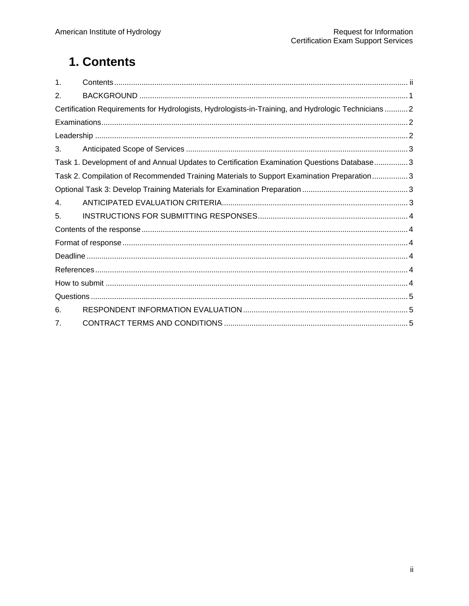# <span id="page-1-0"></span>1. Contents

| $\mathbf{1}$ . |                                                                                                     |  |
|----------------|-----------------------------------------------------------------------------------------------------|--|
| 2.             |                                                                                                     |  |
|                | Certification Requirements for Hydrologists, Hydrologists-in-Training, and Hydrologic Technicians 2 |  |
|                |                                                                                                     |  |
|                |                                                                                                     |  |
| 3.             |                                                                                                     |  |
|                | Task 1. Development of and Annual Updates to Certification Examination Questions Database 3         |  |
|                | Task 2. Compilation of Recommended Training Materials to Support Examination Preparation3           |  |
|                |                                                                                                     |  |
| 4.             |                                                                                                     |  |
| 5.             |                                                                                                     |  |
|                |                                                                                                     |  |
|                |                                                                                                     |  |
|                |                                                                                                     |  |
|                |                                                                                                     |  |
|                |                                                                                                     |  |
|                |                                                                                                     |  |
| 6.             |                                                                                                     |  |
| 7.             |                                                                                                     |  |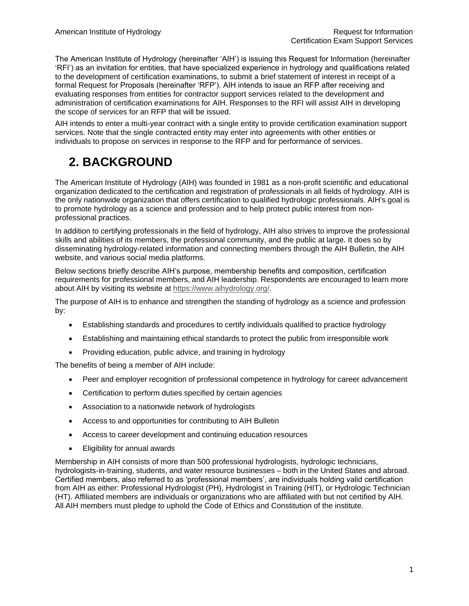The American Institute of Hydrology (hereinafter 'AIH') is issuing this Request for Information (hereinafter 'RFI') as an invitation for entities, that have specialized experience in hydrology and qualifications related to the development of certification examinations, to submit a brief statement of interest in receipt of a formal Request for Proposals (hereinafter 'RFP'). AIH intends to issue an RFP after receiving and evaluating responses from entities for contractor support services related to the development and administration of certification examinations for AIH. Responses to the RFI will assist AIH in developing the scope of services for an RFP that will be issued.

AIH intends to enter a multi-year contract with a single entity to provide certification examination support services. Note that the single contracted entity may enter into agreements with other entities or individuals to propose on services in response to the RFP and for performance of services.

# <span id="page-2-0"></span>**2. BACKGROUND**

The American Institute of Hydrology (AIH) was founded in 1981 as a non-profit scientific and educational organization dedicated to the certification and registration of professionals in all fields of hydrology. AIH is the only nationwide organization that offers certification to qualified hydrologic professionals. AIH's goal is to promote hydrology as a science and profession and to help protect public interest from nonprofessional practices.

In addition to certifying professionals in the field of hydrology, AIH also strives to improve the professional skills and abilities of its members, the professional community, and the public at large. It does so by disseminating hydrology-related information and connecting members through the AIH Bulletin, the AIH website, and various social media platforms.

Below sections briefly describe AIH's purpose, membership benefits and composition, certification requirements for professional members, and AIH leadership. Respondents are encouraged to learn more about AIH by visiting its website at http[s://www](http://www.aihydrology.org/).[aihydrology.org/.](http://www.aihydrology.org/)

The purpose of AIH is to enhance and strengthen the standing of hydrology as a science and profession by:

- Establishing standards and procedures to certify individuals qualified to practice hydrology
- Establishing and maintaining ethical standards to protect the public from irresponsible work
- Providing education, public advice, and training in hydrology

The benefits of being a member of AIH include:

- Peer and employer recognition of professional competence in hydrology for career advancement
- Certification to perform duties specified by certain agencies
- Association to a nationwide network of hydrologists
- Access to and opportunities for contributing to AIH Bulletin
- Access to career development and continuing education resources
- Eligibility for annual awards

Membership in AIH consists of more than 500 professional hydrologists, hydrologic technicians, hydrologists-in-training, students, and water resource businesses – both in the United States and abroad. Certified members, also referred to as 'professional members', are individuals holding valid certification from AIH as either: Professional Hydrologist (PH), Hydrologist in Training (HIT), or Hydrologic Technician (HT). Affiliated members are individuals or organizations who are affiliated with but not certified by AIH. All AIH members must pledge to uphold the Code of Ethics and Constitution of the institute.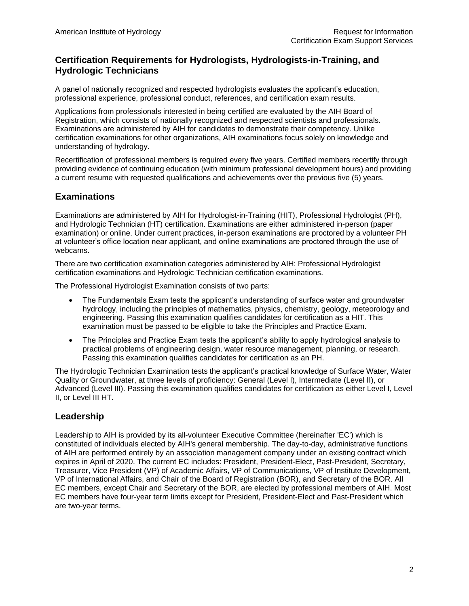## <span id="page-3-0"></span>**Certification Requirements for Hydrologists, Hydrologists-in-Training, and Hydrologic Technicians**

A panel of nationally recognized and respected hydrologists evaluates the applicant's education, professional experience, professional conduct, references, and certification exam results.

Applications from professionals interested in being certified are evaluated by the AIH Board of Registration, which consists of nationally recognized and respected scientists and professionals. Examinations are administered by AIH for candidates to demonstrate their competency. Unlike certification examinations for other organizations, AIH examinations focus solely on knowledge and understanding of hydrology.

Recertification of professional members is required every five years. Certified members recertify through providing evidence of continuing education (with minimum professional development hours) and providing a current resume with requested qualifications and achievements over the previous five (5) years.

## <span id="page-3-1"></span>**Examinations**

Examinations are administered by AIH for Hydrologist-in-Training (HIT), Professional Hydrologist (PH), and Hydrologic Technician (HT) certification. Examinations are either administered in-person (paper examination) or online. Under current practices, in-person examinations are proctored by a volunteer PH at volunteer's office location near applicant, and online examinations are proctored through the use of webcams.

There are two certification examination categories administered by AIH: Professional Hydrologist certification examinations and Hydrologic Technician certification examinations.

The Professional Hydrologist Examination consists of two parts:

- The Fundamentals Exam tests the applicant's understanding of surface water and groundwater hydrology, including the principles of mathematics, physics, chemistry, geology, meteorology and engineering. Passing this examination qualifies candidates for certification as a HIT. This examination must be passed to be eligible to take the Principles and Practice Exam.
- The Principles and Practice Exam tests the applicant's ability to apply hydrological analysis to practical problems of engineering design, water resource management, planning, or research. Passing this examination qualifies candidates for certification as an PH.

The Hydrologic Technician Examination tests the applicant's practical knowledge of Surface Water, Water Quality or Groundwater, at three levels of proficiency: General (Level I), Intermediate (Level II), or Advanced (Level III). Passing this examination qualifies candidates for certification as either Level I, Level II, or Level III HT.

## <span id="page-3-2"></span>**Leadership**

Leadership to AIH is provided by its all-volunteer Executive Committee (hereinafter 'EC') which is constituted of individuals elected by AIH's general membership. The day-to-day, administrative functions of AIH are performed entirely by an association management company under an existing contract which expires in April of 2020. The current EC includes: President, President-Elect, Past-President, Secretary, Treasurer, Vice President (VP) of Academic Affairs, VP of Communications, VP of Institute Development, VP of International Affairs, and Chair of the Board of Registration (BOR), and Secretary of the BOR. All EC members, except Chair and Secretary of the BOR, are elected by professional members of AIH. Most EC members have four-year term limits except for President, President-Elect and Past-President which are two-year terms.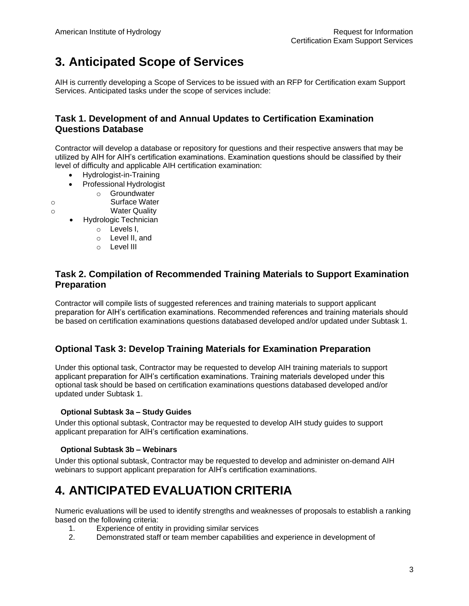# <span id="page-4-0"></span>**3. Anticipated Scope of Services**

AIH is currently developing a Scope of Services to be issued with an RFP for Certification exam Support Services. Anticipated tasks under the scope of services include:

### <span id="page-4-1"></span>**Task 1. Development of and Annual Updates to Certification Examination Questions Database**

Contractor will develop a database or repository for questions and their respective answers that may be utilized by AIH for AIH's certification examinations. Examination questions should be classified by their level of difficulty and applicable AIH certification examination:

- Hydrologist-in-Training
- Professional Hydrologist
	- o Groundwater
- o Surface Water
- o Water Quality
	- Hydrologic Technician
		- o Levels I,
		- o Level II, and
		- o Level III

## <span id="page-4-2"></span>**Task 2. Compilation of Recommended Training Materials to Support Examination Preparation**

Contractor will compile lists of suggested references and training materials to support applicant preparation for AIH's certification examinations. Recommended references and training materials should be based on certification examinations questions databased developed and/or updated under Subtask 1.

## <span id="page-4-3"></span>**Optional Task 3: Develop Training Materials for Examination Preparation**

Under this optional task, Contractor may be requested to develop AIH training materials to support applicant preparation for AIH's certification examinations. Training materials developed under this optional task should be based on certification examinations questions databased developed and/or updated under Subtask 1.

#### **Optional Subtask 3a – Study Guides**

Under this optional subtask, Contractor may be requested to develop AIH study guides to support applicant preparation for AIH's certification examinations.

#### **Optional Subtask 3b – Webinars**

Under this optional subtask, Contractor may be requested to develop and administer on-demand AIH webinars to support applicant preparation for AIH's certification examinations.

## <span id="page-4-4"></span>**4. ANTICIPATED EVALUATION CRITERIA**

Numeric evaluations will be used to identify strengths and weaknesses of proposals to establish a ranking based on the following criteria:

- 1. Experience of entity in providing similar services
- 2. Demonstrated staff or team member capabilities and experience in development of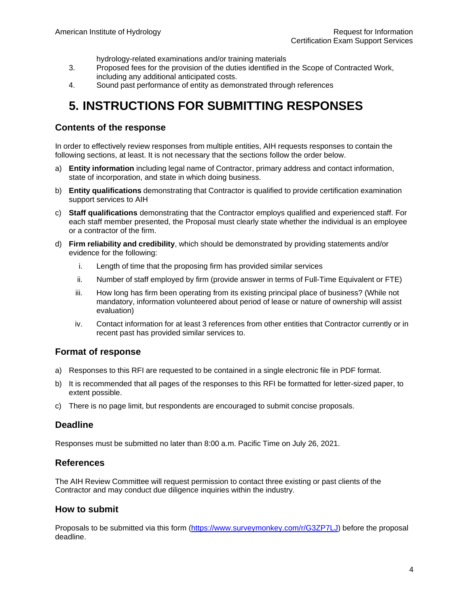hydrology-related examinations and/or training materials

- 3. Proposed fees for the provision of the duties identified in the Scope of Contracted Work, including any additional anticipated costs.
- 4. Sound past performance of entity as demonstrated through references

## <span id="page-5-0"></span>**5. INSTRUCTIONS FOR SUBMITTING RESPONSES**

#### <span id="page-5-1"></span>**Contents of the response**

In order to effectively review responses from multiple entities, AIH requests responses to contain the following sections, at least. It is not necessary that the sections follow the order below.

- a) **Entity information** including legal name of Contractor, primary address and contact information, state of incorporation, and state in which doing business.
- b) **Entity qualifications** demonstrating that Contractor is qualified to provide certification examination support services to AIH
- c) **Staff qualifications** demonstrating that the Contractor employs qualified and experienced staff. For each staff member presented, the Proposal must clearly state whether the individual is an employee or a contractor of the firm.
- d) **Firm reliability and credibility**, which should be demonstrated by providing statements and/or evidence for the following:
	- i. Length of time that the proposing firm has provided similar services
	- ii. Number of staff employed by firm (provide answer in terms of Full-Time Equivalent or FTE)
	- iii. How long has firm been operating from its existing principal place of business? (While not mandatory, information volunteered about period of lease or nature of ownership will assist evaluation)
	- iv. Contact information for at least 3 references from other entities that Contractor currently or in recent past has provided similar services to.

#### <span id="page-5-2"></span>**Format of response**

- a) Responses to this RFI are requested to be contained in a single electronic file in PDF format.
- b) It is recommended that all pages of the responses to this RFI be formatted for letter-sized paper, to extent possible.
- c) There is no page limit, but respondents are encouraged to submit concise proposals.

#### <span id="page-5-3"></span>**Deadline**

Responses must be submitted no later than 8:00 a.m. Pacific Time on July 26, 2021.

#### <span id="page-5-4"></span>**References**

The AIH Review Committee will request permission to contact three existing or past clients of the Contractor and may conduct due diligence inquiries within the industry.

#### <span id="page-5-5"></span>**How to submit**

Proposals to be submitted via this form [\(https://www.surveymonkey.com/r/G3ZP7LJ\)](https://www.surveymonkey.com/r/G3ZP7LJ) before the proposal deadline.